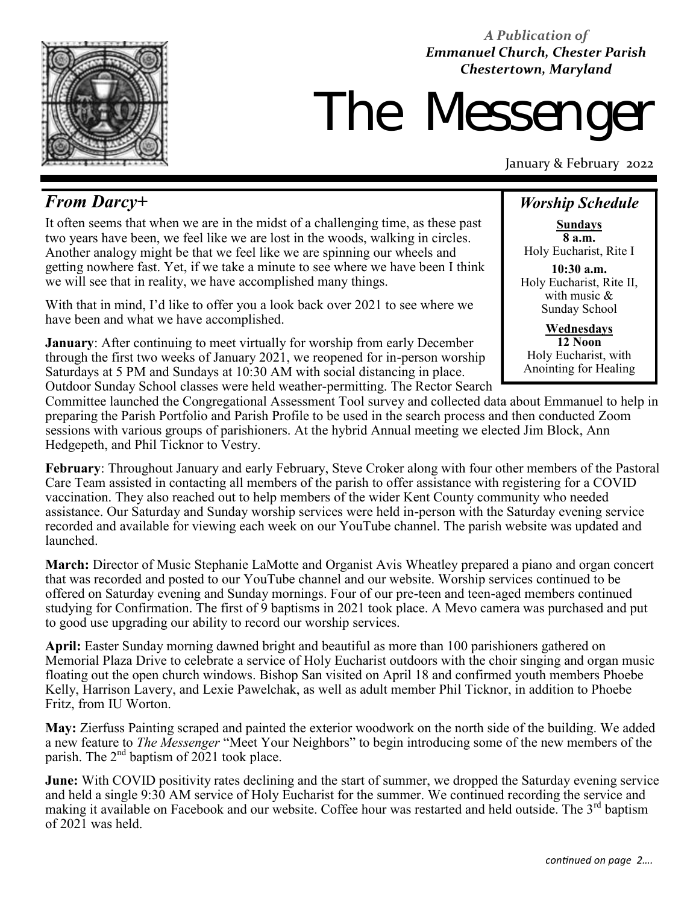

*A Publication of Emmanuel Church, Chester Parish Chestertown, Maryland* 

# The Messeng

January & February 2022

# *From Darcy+*

It often seems that when we are in the midst of a challenging time, as these past two years have been, we feel like we are lost in the woods, walking in circles. Another analogy might be that we feel like we are spinning our wheels and getting nowhere fast. Yet, if we take a minute to see where we have been I think we will see that in reality, we have accomplished many things.

With that in mind, I'd like to offer you a look back over 2021 to see where we have been and what we have accomplished.

**January**: After continuing to meet virtually for worship from early December through the first two weeks of January 2021, we reopened for in-person worship Saturdays at 5 PM and Sundays at 10:30 AM with social distancing in place. Outdoor Sunday School classes were held weather-permitting. The Rector Search

# *Worship Schedule*

**Sundays 8 a.m.** Holy Eucharist, Rite I

**10:30 a.m.** Holy Eucharist, Rite II, with music & Sunday School

**Wednesdays 12 Noon** Holy Eucharist, with Anointing for Healing

Committee launched the Congregational Assessment Tool survey and collected data about Emmanuel to help in preparing the Parish Portfolio and Parish Profile to be used in the search process and then conducted Zoom sessions with various groups of parishioners. At the hybrid Annual meeting we elected Jim Block, Ann Hedgepeth, and Phil Ticknor to Vestry.

**February**: Throughout January and early February, Steve Croker along with four other members of the Pastoral Care Team assisted in contacting all members of the parish to offer assistance with registering for a COVID vaccination. They also reached out to help members of the wider Kent County community who needed assistance. Our Saturday and Sunday worship services were held in-person with the Saturday evening service recorded and available for viewing each week on our YouTube channel. The parish website was updated and launched.

**March:** Director of Music Stephanie LaMotte and Organist Avis Wheatley prepared a piano and organ concert that was recorded and posted to our YouTube channel and our website. Worship services continued to be offered on Saturday evening and Sunday mornings. Four of our pre-teen and teen-aged members continued studying for Confirmation. The first of 9 baptisms in 2021 took place. A Mevo camera was purchased and put to good use upgrading our ability to record our worship services.

**April:** Easter Sunday morning dawned bright and beautiful as more than 100 parishioners gathered on Memorial Plaza Drive to celebrate a service of Holy Eucharist outdoors with the choir singing and organ music floating out the open church windows. Bishop San visited on April 18 and confirmed youth members Phoebe Kelly, Harrison Lavery, and Lexie Pawelchak, as well as adult member Phil Ticknor, in addition to Phoebe Fritz, from IU Worton.

**May:** Zierfuss Painting scraped and painted the exterior woodwork on the north side of the building. We added a new feature to *The Messenger* "Meet Your Neighbors" to begin introducing some of the new members of the parish. The  $2<sup>nd</sup>$  baptism of 2021 took place.

**June:** With COVID positivity rates declining and the start of summer, we dropped the Saturday evening service and held a single 9:30 AM service of Holy Eucharist for the summer. We continued recording the service and making it available on Facebook and our website. Coffee hour was restarted and held outside. The 3<sup>rd</sup> baptism of 2021 was held.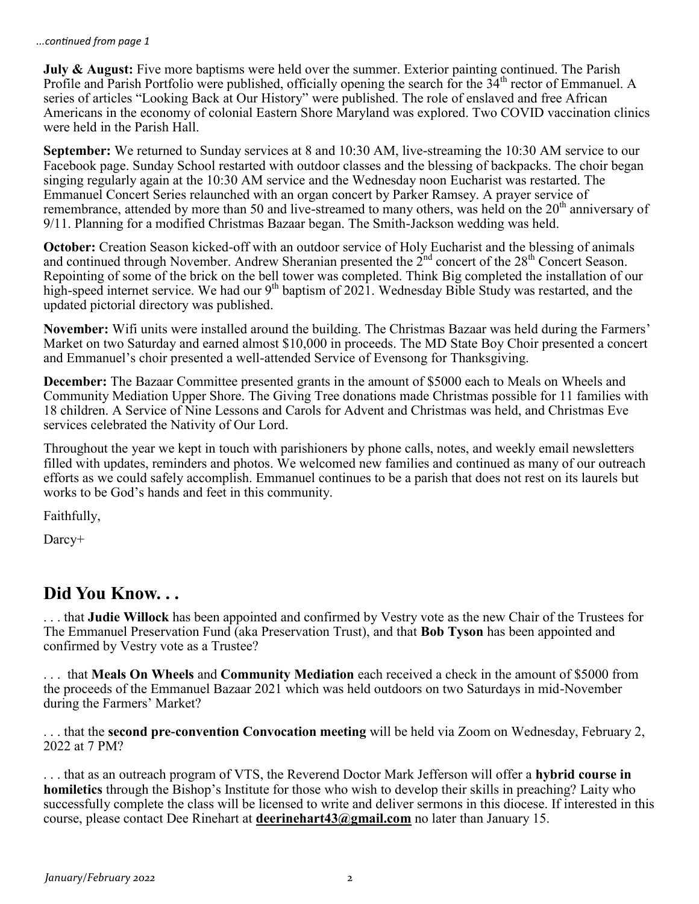**July & August:** Five more baptisms were held over the summer. Exterior painting continued. The Parish Profile and Parish Portfolio were published, officially opening the search for the  $34<sup>th</sup>$  rector of Emmanuel. A series of articles "Looking Back at Our History" were published. The role of enslaved and free African Americans in the economy of colonial Eastern Shore Maryland was explored. Two COVID vaccination clinics were held in the Parish Hall.

**September:** We returned to Sunday services at 8 and 10:30 AM, live-streaming the 10:30 AM service to our Facebook page. Sunday School restarted with outdoor classes and the blessing of backpacks. The choir began singing regularly again at the 10:30 AM service and the Wednesday noon Eucharist was restarted. The Emmanuel Concert Series relaunched with an organ concert by Parker Ramsey. A prayer service of remembrance, attended by more than 50 and live-streamed to many others, was held on the 20<sup>th</sup> anniversary of 9/11. Planning for a modified Christmas Bazaar began. The Smith-Jackson wedding was held.

**October:** Creation Season kicked-off with an outdoor service of Holy Eucharist and the blessing of animals and continued through November. Andrew Sheranian presented the  $2^{nd}$  concert of the  $28^{th}$  Concert Season. Repointing of some of the brick on the bell tower was completed. Think Big completed the installation of our high-speed internet service. We had our 9<sup>th</sup> baptism of 2021. Wednesday Bible Study was restarted, and the updated pictorial directory was published.

**November:** Wifi units were installed around the building. The Christmas Bazaar was held during the Farmers' Market on two Saturday and earned almost \$10,000 in proceeds. The MD State Boy Choir presented a concert and Emmanuel's choir presented a well-attended Service of Evensong for Thanksgiving.

**December:** The Bazaar Committee presented grants in the amount of \$5000 each to Meals on Wheels and Community Mediation Upper Shore. The Giving Tree donations made Christmas possible for 11 families with 18 children. A Service of Nine Lessons and Carols for Advent and Christmas was held, and Christmas Eve services celebrated the Nativity of Our Lord.

Throughout the year we kept in touch with parishioners by phone calls, notes, and weekly email newsletters filled with updates, reminders and photos. We welcomed new families and continued as many of our outreach efforts as we could safely accomplish. Emmanuel continues to be a parish that does not rest on its laurels but works to be God's hands and feet in this community.

Faithfully,

Darcy+

# **Did You Know. . .**

. . . that **Judie Willock** has been appointed and confirmed by Vestry vote as the new Chair of the Trustees for The Emmanuel Preservation Fund (aka Preservation Trust), and that **Bob Tyson** has been appointed and confirmed by Vestry vote as a Trustee?

. . . that **Meals On Wheels** and **Community Mediation** each received a check in the amount of \$5000 from the proceeds of the Emmanuel Bazaar 2021 which was held outdoors on two Saturdays in mid-November during the Farmers' Market?

. . . that the **second pre-convention Convocation meeting** will be held via Zoom on Wednesday, February 2, 2022 at 7 PM?

. . . that as an outreach program of VTS, the Reverend Doctor Mark Jefferson will offer a **hybrid course in homiletics** through the Bishop's Institute for those who wish to develop their skills in preaching? Laity who successfully complete the class will be licensed to write and deliver sermons in this diocese. If interested in this course, please contact Dee Rinehart at **[deerinehart43@gmail.com](mailto:deerinehart43@gmail.com)** no later than January 15.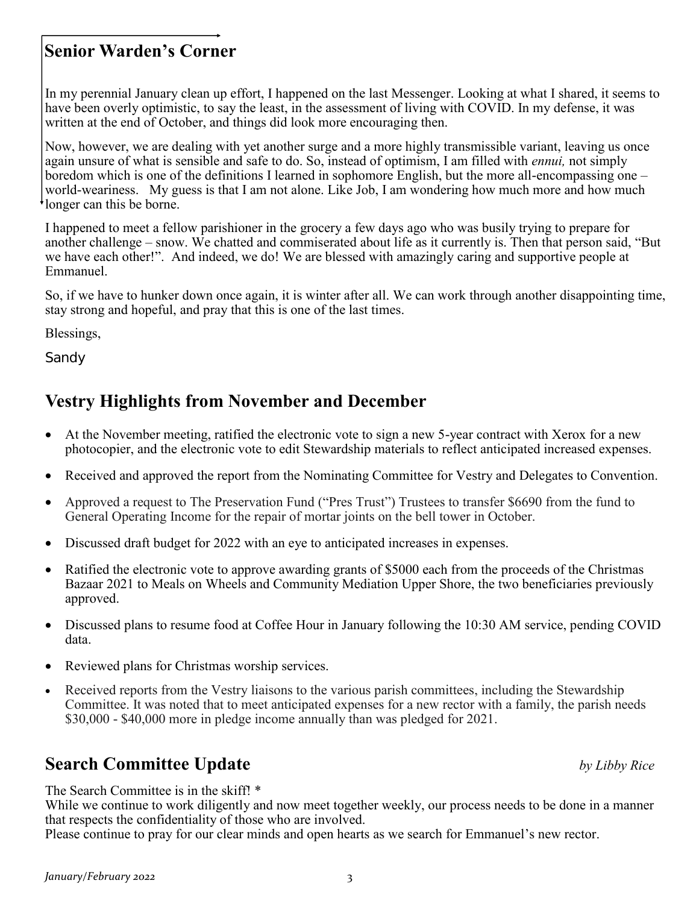Please continue to pray for our clear minds and open hearts as we search for Emmanuel's new rector.

# **Senior Warden's Corner**

In my perennial January clean up effort, I happened on the last Messenger. Looking at what I shared, it seems to have been overly optimistic, to say the least, in the assessment of living with COVID. In my defense, it was written at the end of October, and things did look more encouraging then.

Now, however, we are dealing with yet another surge and a more highly transmissible variant, leaving us once again unsure of what is sensible and safe to do. So, instead of optimism, I am filled with *ennui,* not simply boredom which is one of the definitions I learned in sophomore English, but the more all-encompassing one – world-weariness. My guess is that I am not alone. Like Job, I am wondering how much more and how much longer can this be borne.

I happened to meet a fellow parishioner in the grocery a few days ago who was busily trying to prepare for another challenge – snow. We chatted and commiserated about life as it currently is. Then that person said, "But we have each other!". And indeed, we do! We are blessed with amazingly caring and supportive people at Emmanuel.

So, if we have to hunker down once again, it is winter after all. We can work through another disappointing time, stay strong and hopeful, and pray that this is one of the last times.

Blessings,

*Sandy*

# **Vestry Highlights from November and December**

- At the November meeting, ratified the electronic vote to sign a new 5-year contract with Xerox for a new photocopier, and the electronic vote to edit Stewardship materials to reflect anticipated increased expenses.
- Received and approved the report from the Nominating Committee for Vestry and Delegates to Convention.
- Approved a request to The Preservation Fund ("Pres Trust") Trustees to transfer \$6690 from the fund to General Operating Income for the repair of mortar joints on the bell tower in October.
- Discussed draft budget for 2022 with an eye to anticipated increases in expenses.
- Ratified the electronic vote to approve awarding grants of \$5000 each from the proceeds of the Christmas Bazaar 2021 to Meals on Wheels and Community Mediation Upper Shore, the two beneficiaries previously approved.
- Discussed plans to resume food at Coffee Hour in January following the 10:30 AM service, pending COVID data.
- Reviewed plans for Christmas worship services.
- Received reports from the Vestry liaisons to the various parish committees, including the Stewardship Committee. It was noted that to meet anticipated expenses for a new rector with a family, the parish needs \$30,000 - \$40,000 more in pledge income annually than was pledged for 2021.

# **Search Committee Update** *by Libby Rice*

The Search Committee is in the skiff! \*

While we continue to work diligently and now meet together weekly, our process needs to be done in a manner that respects the confidentiality of those who are involved.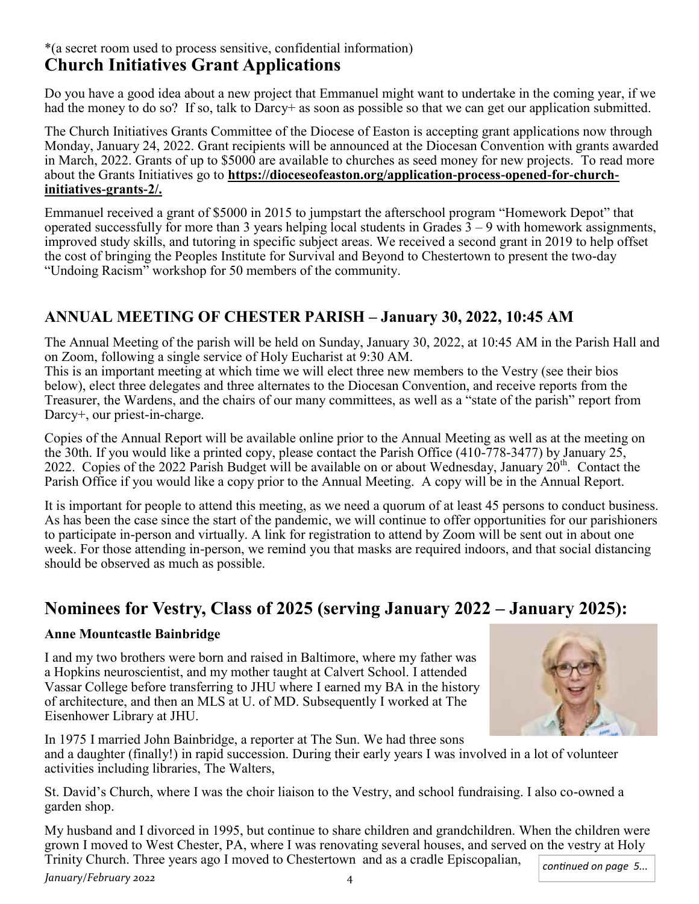# \*(a secret room used to process sensitive, confidential information) **Church Initiatives Grant Applications**

Do you have a good idea about a new project that Emmanuel might want to undertake in the coming year, if we had the money to do so? If so, talk to Darcy+ as soon as possible so that we can get our application submitted.

The Church Initiatives Grants Committee of the Diocese of Easton is accepting grant applications now through Monday, January 24, 2022. Grant recipients will be announced at the Diocesan Convention with grants awarded in March, 2022. Grants of up to \$5000 are available to churches as seed money for new projects. To read more about the Grants Initiatives go to **https://dioceseofeaston.org/application-process-opened-for-churchinitiatives-grants-2/.**

Emmanuel received a grant of \$5000 in 2015 to jumpstart the afterschool program "Homework Depot" that operated successfully for more than 3 years helping local students in Grades  $3 - 9$  with homework assignments, improved study skills, and tutoring in specific subject areas. We received a second grant in 2019 to help offset the cost of bringing the Peoples Institute for Survival and Beyond to Chestertown to present the two-day "Undoing Racism" workshop for 50 members of the community.

# **ANNUAL MEETING OF CHESTER PARISH – January 30, 2022, 10:45 AM**

The Annual Meeting of the parish will be held on Sunday, January 30, 2022, at 10:45 AM in the Parish Hall and on Zoom, following a single service of Holy Eucharist at 9:30 AM.

This is an important meeting at which time we will elect three new members to the Vestry (see their bios below), elect three delegates and three alternates to the Diocesan Convention, and receive reports from the Treasurer, the Wardens, and the chairs of our many committees, as well as a "state of the parish" report from Darcy+, our priest-in-charge.

Copies of the Annual Report will be available online prior to the Annual Meeting as well as at the meeting on the 30th. If you would like a printed copy, please contact the Parish Office (410-778-3477) by January 25, 2022. Copies of the 2022 Parish Budget will be available on or about Wednesday, January  $20^{th}$ . Contact the Parish Office if you would like a copy prior to the Annual Meeting. A copy will be in the Annual Report.

It is important for people to attend this meeting, as we need a quorum of at least 45 persons to conduct business. As has been the case since the start of the pandemic, we will continue to offer opportunities for our parishioners to participate in-person and virtually. A link for registration to attend by Zoom will be sent out in about one week. For those attending in-person, we remind you that masks are required indoors, and that social distancing should be observed as much as possible.

# **Nominees for Vestry, Class of 2025 (serving January 2022 – January 2025):**

#### **Anne Mountcastle Bainbridge**

I and my two brothers were born and raised in Baltimore, where my father was a Hopkins neuroscientist, and my mother taught at Calvert School. I attended Vassar College before transferring to JHU where I earned my BA in the history of architecture, and then an MLS at U. of MD. Subsequently I worked at The Eisenhower Library at JHU.



In 1975 I married John Bainbridge, a reporter at The Sun. We had three sons and a daughter (finally!) in rapid succession. During their early years I was involved in a lot of volunteer activities including libraries, The Walters,

St. David's Church, where I was the choir liaison to the Vestry, and school fundraising. I also co-owned a garden shop.

My husband and I divorced in 1995, but continue to share children and grandchildren. When the children were grown I moved to West Chester, PA, where I was renovating several houses, and served on the vestry at Holy Trinity Church. Three years ago I moved to Chestertown and as a cradle Episcopalian, *continued on page 5...*

*January/February 2022* 4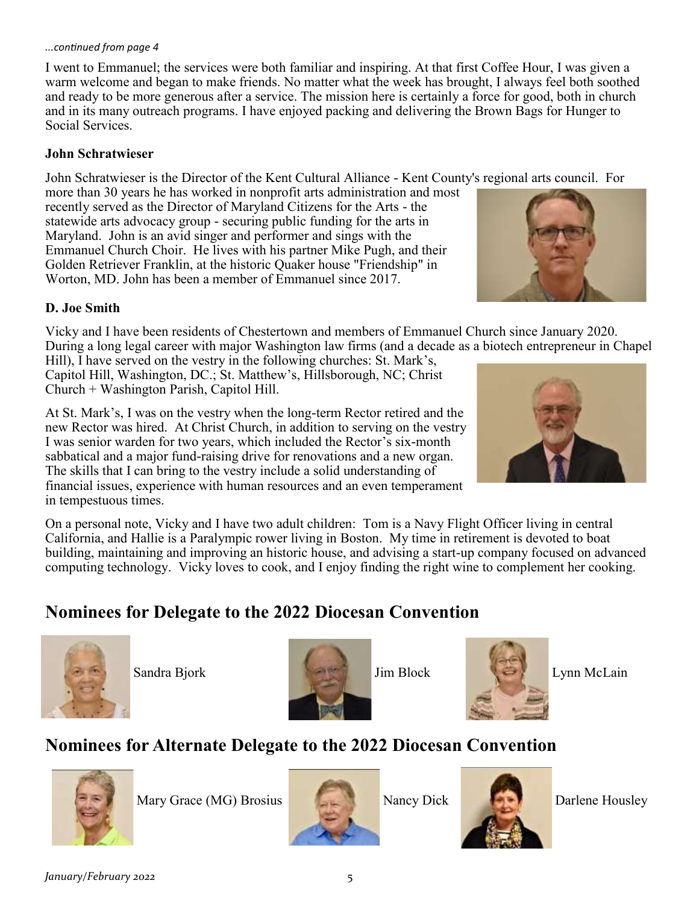#### *...continued from page 4*

I went to Emmanuel; the services were both familiar and inspiring. At that first Coffee Hour, I was given a warm welcome and began to make friends. No matter what the week has brought, I always feel both soothed and ready to be more generous after a service. The mission here is certainly a force for good, both in church and in its many outreach programs. I have enjoyed packing and delivering the Brown Bags for Hunger to Social Services.

#### **John Schratwieser**

John Schratwieser is the Director of the Kent Cultural Alliance - Kent County's regional arts council. For

more than 30 years he has worked in nonprofit arts administration and most recently served as the Director of Maryland Citizens for the Arts - the statewide arts advocacy group - securing public funding for the arts in Maryland. John is an avid singer and performer and sings with the Emmanuel Church Choir. He lives with his partner Mike Pugh, and their Golden Retriever Franklin, at the historic Quaker house "Friendship" in Worton, MD. John has been a member of Emmanuel since 2017.



#### **D. Joe Smith**

Vicky and I have been residents of Chestertown and members of Emmanuel Church since January 2020. During a long legal career with major Washington law firms (and a decade as a biotech entrepreneur in Chapel

Hill), I have served on the vestry in the following churches: St. Mark's, Capitol Hill, Washington, DC.; St. Matthew's, Hillsborough, NC; Christ Church + Washington Parish, Capitol Hill.

At St. Mark's, I was on the vestry when the long-term Rector retired and the new Rector was hired. At Christ Church, in addition to serving on the vestry I was senior warden for two years, which included the Rector's six-month sabbatical and a major fund-raising drive for renovations and a new organ. The skills that I can bring to the vestry include a solid understanding of financial issues, experience with human resources and an even temperament in tempestuous times.

On a personal note, Vicky and I have two adult children: Tom is a Navy Flight Officer living in central California, and Hallie is a Paralympic rower living in Boston. My time in retirement is devoted to boat building, maintaining and improving an historic house, and advising a start-up company focused on advanced computing technology. Vicky loves to cook, and I enjoy finding the right wine to complement her cooking.

# **Nominees for Delegate to the 2022 Diocesan Convention**







# **Nominees for Alternate Delegate to the 2022 Diocesan Convention**



Mary Grace (MG) Brosius Nancy Dick Darlene Housley





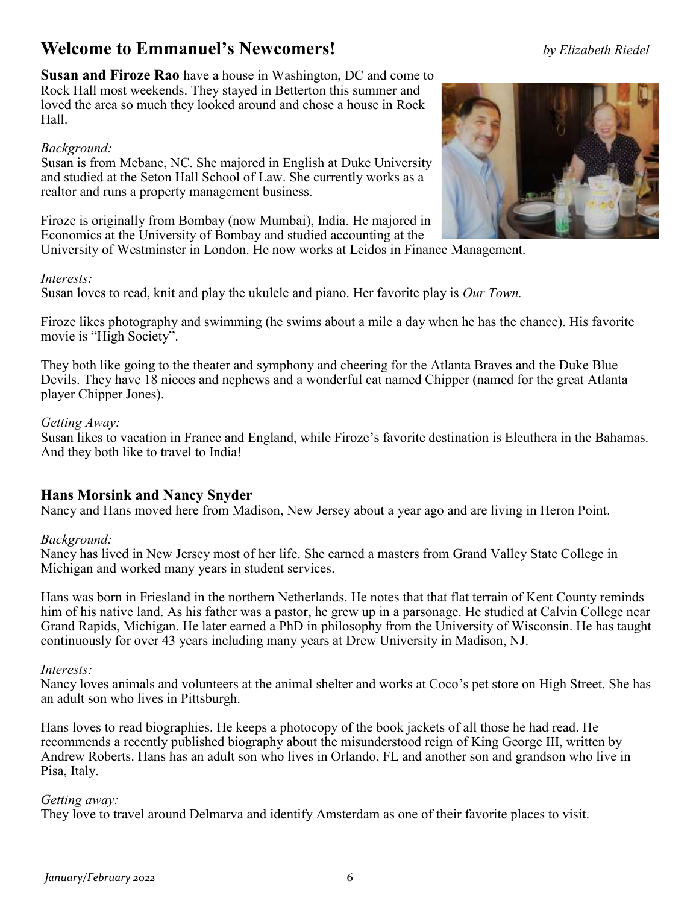# **Welcome to Emmanuel's Newcomers!** *by Elizabeth Riedel*

**Susan and Firoze Rao** have a house in Washington, DC and come to Rock Hall most weekends. They stayed in Betterton this summer and loved the area so much they looked around and chose a house in Rock Hall.

# *Background:*

Susan is from Mebane, NC. She majored in English at Duke University and studied at the Seton Hall School of Law. She currently works as a realtor and runs a property management business.

Firoze is originally from Bombay (now Mumbai), India. He majored in Economics at the University of Bombay and studied accounting at the

University of Westminster in London. He now works at Leidos in Finance Management.

#### *Interests:*

Susan loves to read, knit and play the ukulele and piano. Her favorite play is *Our Town.*

Firoze likes photography and swimming (he swims about a mile a day when he has the chance). His favorite movie is "High Society".

They both like going to the theater and symphony and cheering for the Atlanta Braves and the Duke Blue Devils. They have 18 nieces and nephews and a wonderful cat named Chipper (named for the great Atlanta player Chipper Jones).

# *Getting Away:*

Susan likes to vacation in France and England, while Firoze's favorite destination is Eleuthera in the Bahamas. And they both like to travel to India!

# **Hans Morsink and Nancy Snyder**

Nancy and Hans moved here from Madison, New Jersey about a year ago and are living in Heron Point.

#### *Background:*

Nancy has lived in New Jersey most of her life. She earned a masters from Grand Valley State College in Michigan and worked many years in student services.

Hans was born in Friesland in the northern Netherlands. He notes that that flat terrain of Kent County reminds him of his native land. As his father was a pastor, he grew up in a parsonage. He studied at Calvin College near Grand Rapids, Michigan. He later earned a PhD in philosophy from the University of Wisconsin. He has taught continuously for over 43 years including many years at Drew University in Madison, NJ.

#### *Interests:*

Nancy loves animals and volunteers at the animal shelter and works at Coco's pet store on High Street. She has an adult son who lives in Pittsburgh.

Hans loves to read biographies. He keeps a photocopy of the book jackets of all those he had read. He recommends a recently published biography about the misunderstood reign of King George III, written by Andrew Roberts. Hans has an adult son who lives in Orlando, FL and another son and grandson who live in Pisa, Italy.

#### *Getting away:*

They love to travel around Delmarva and identify Amsterdam as one of their favorite places to visit.

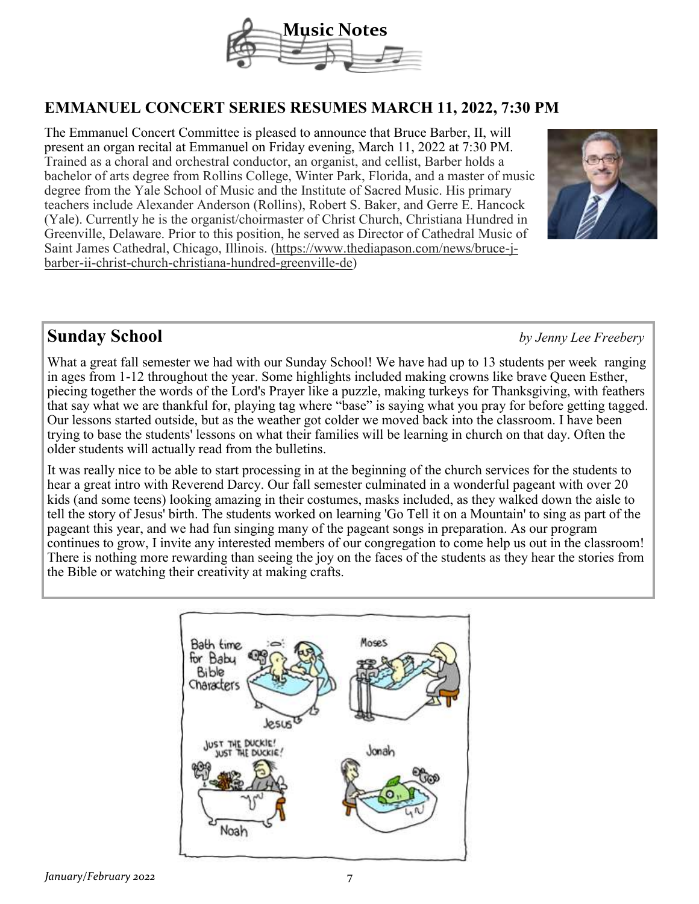

# **EMMANUEL CONCERT SERIES RESUMES MARCH 11, 2022, 7:30 PM**

The Emmanuel Concert Committee is pleased to announce that Bruce Barber, II, will present an organ recital at Emmanuel on Friday evening, March 11, 2022 at 7:30 PM. Trained as a choral and orchestral conductor, an organist, and cellist, Barber holds a bachelor of arts degree from Rollins College, Winter Park, Florida, and a master of music degree from the Yale School of Music and the Institute of Sacred Music. His primary teachers include Alexander Anderson (Rollins), Robert S. Baker, and Gerre E. Hancock (Yale). Currently he is the organist/choirmaster of Christ Church, Christiana Hundred in Greenville, Delaware. Prior to this position, he served as Director of Cathedral Music of Saint James Cathedral, Chicago, Illinois. (https://www.thediapason.com/news/bruce-jbarber-ii-christ-church-christiana-hundred-greenville-de)



# **Sunday School** *by Jenny Lee Freebery*

What a great fall semester we had with our Sunday School! We have had up to 13 students per week ranging in ages from 1-12 throughout the year. Some highlights included making crowns like brave Queen Esther, piecing together the words of the Lord's Prayer like a puzzle, making turkeys for Thanksgiving, with feathers that say what we are thankful for, playing tag where "base" is saying what you pray for before getting tagged. Our lessons started outside, but as the weather got colder we moved back into the classroom. I have been trying to base the students' lessons on what their families will be learning in church on that day. Often the older students will actually read from the bulletins.

It was really nice to be able to start processing in at the beginning of the church services for the students to hear a great intro with Reverend Darcy. Our fall semester culminated in a wonderful pageant with over 20 kids (and some teens) looking amazing in their costumes, masks included, as they walked down the aisle to tell the story of Jesus' birth. The students worked on learning 'Go Tell it on a Mountain' to sing as part of the pageant this year, and we had fun singing many of the pageant songs in preparation. As our program continues to grow, I invite any interested members of our congregation to come help us out in the classroom! There is nothing more rewarding than seeing the joy on the faces of the students as they hear the stories from the Bible or watching their creativity at making crafts.

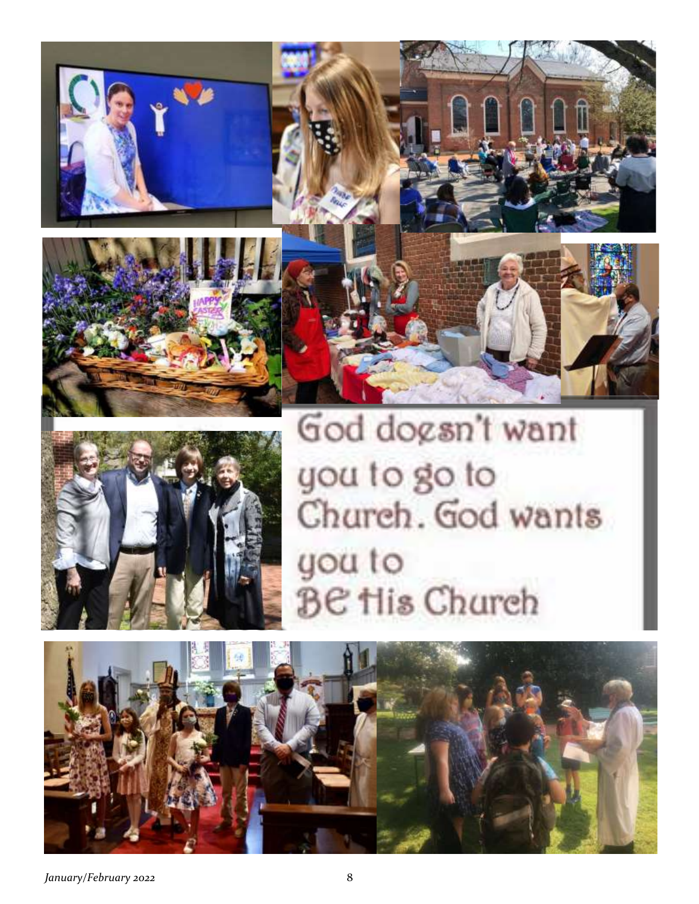







*January/February 2022* 8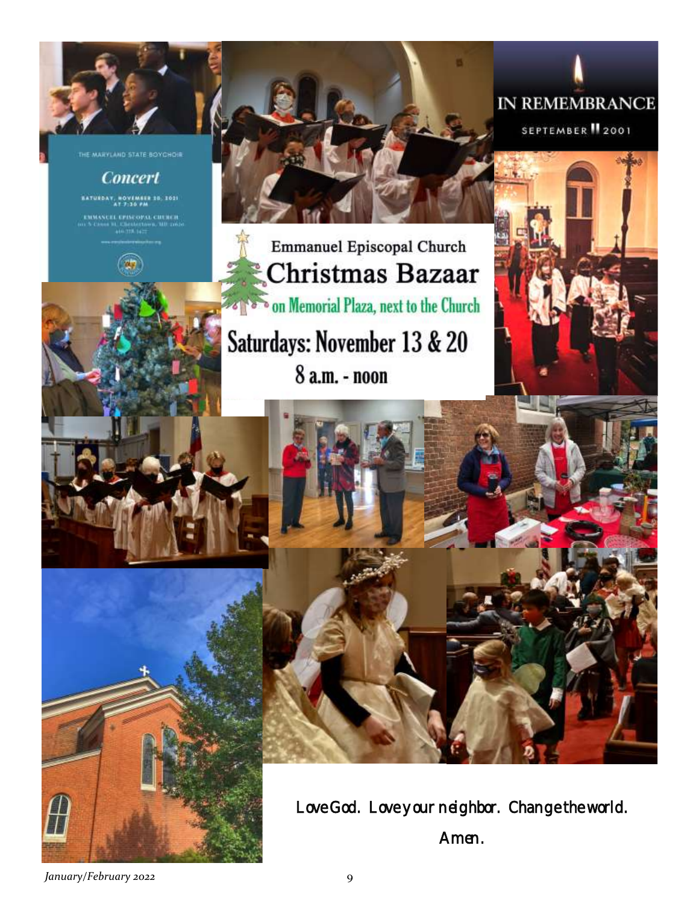MARYLAND STATE BOYCHOR

# **Concert**

BATUEDAY, NOVEMBER 10, 1021

.<br>NGC 1874 SIMBAD OMBORIDA<br>NGC 1875 Vizier omborida



IN REMEMBRANCE

SEPTEMBER 12001

# **Emmanuel Episcopal Church** Christmas Bazaar on Memorial Plaza, next to the Church

Saturdays: November 13 & 20

8 a.m. - noon



Love God. Love your neighbor. Change the world. Amen.

*January/February 2022* 9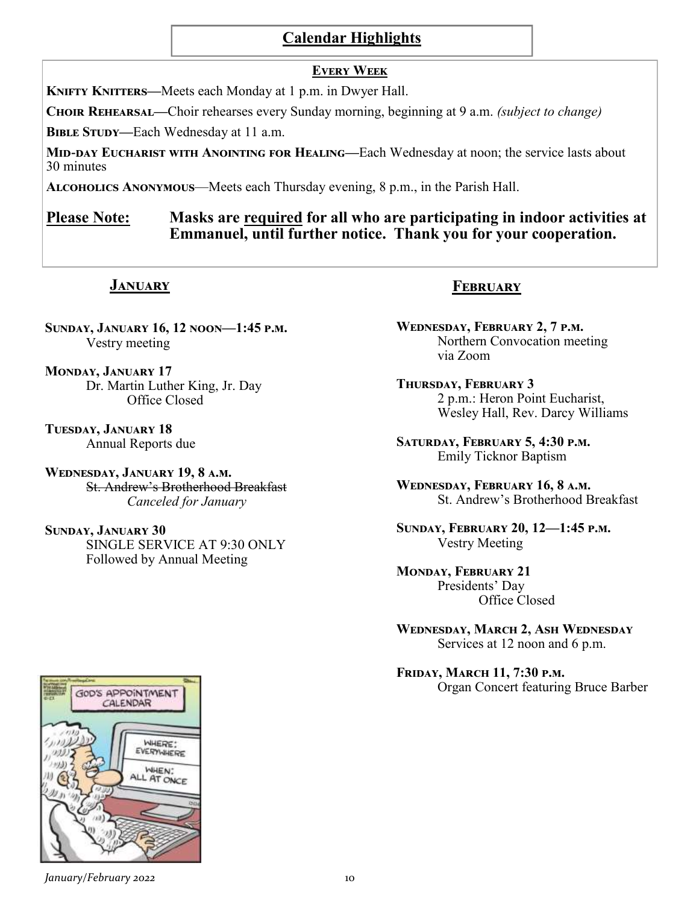# **Calendar Highlights**

#### **Every Week**

**KNIFTY KNITTERS—Meets each Monday at 1 p.m. in Dwyer Hall.** 

**Choir Rehearsal—**Choir rehearses every Sunday morning, beginning at 9 a.m. *(subject to change)*

**BIBLE STUDY—Each Wednesday at 11 a.m.** 

**Mid-day Eucharist with Anointing for Healing—**Each Wednesday at noon; the service lasts about 30 minutes

**Alcoholics Anonymous**—Meets each Thursday evening, 8 p.m., in the Parish Hall.

# **Please Note: Masks are required for all who are participating in indoor activities at Emmanuel, until further notice. Thank you for your cooperation.**

# **January**

**Sunday, January 16, 12 noon—1:45 p.m.** Vestry meeting

**Monday, January 17** Dr. Martin Luther King, Jr. Day Office Closed

**Tuesday, January 18** Annual Reports due

**Wednesday, January 19, 8 a.m.** St. Andrew's Brotherhood Breakfast *Canceled for January*

**Sunday, January 30** SINGLE SERVICE AT 9:30 ONLY Followed by Annual Meeting

# **February**

**Wednesday, February 2, 7 p.m.** Northern Convocation meeting via Zoom

**Thursday, February 3** 2 p.m.: Heron Point Eucharist, Wesley Hall, Rev. Darcy Williams

**Saturday, February 5, 4:30 p.m.** Emily Ticknor Baptism

**Wednesday, February 16, 8 a.m.** St. Andrew's Brotherhood Breakfast

**Sunday, February 20, 12—1:45 p.m.** Vestry Meeting

**Monday, February 21** Presidents' Day Office Closed

**Wednesday, March 2, Ash Wednesday** Services at 12 noon and 6 p.m.

**Friday, March 11, 7:30 p.m.** Organ Concert featuring Bruce Barber

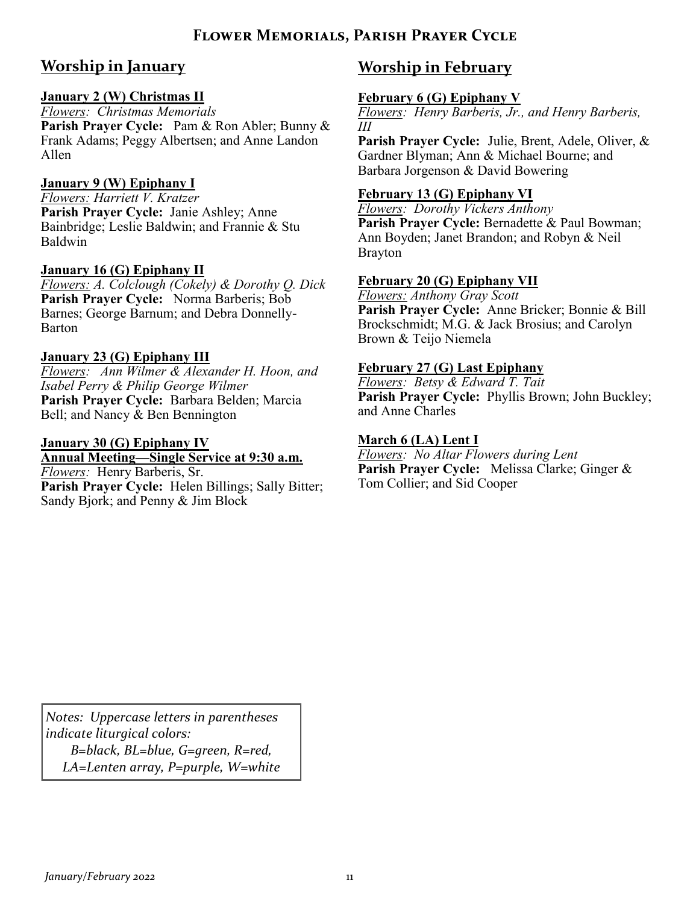# **Flower Memorials, Parish Prayer Cycle**

# **Worship in January**

# **January 2 (W) Christmas II**

*Flowers: Christmas Memorials*  **Parish Prayer Cycle:** Pam & Ron Abler; Bunny & Frank Adams; Peggy Albertsen; and Anne Landon Allen

#### **January 9 (W) Epiphany I**

*Flowers: Harriett V. Kratzer* **Parish Prayer Cycle:** Janie Ashley; Anne Bainbridge; Leslie Baldwin; and Frannie & Stu Baldwin

#### **January 16 (G) Epiphany II**

*Flowers: A. Colclough (Cokely) & Dorothy Q. Dick* **Parish Prayer Cycle:** Norma Barberis; Bob Barnes; George Barnum; and Debra Donnelly-Barton

#### **January 23 (G) Epiphany III**

*Flowers: Ann Wilmer & Alexander H. Hoon, and Isabel Perry & Philip George Wilmer* **Parish Prayer Cycle:** Barbara Belden; Marcia Bell; and Nancy & Ben Bennington

#### **January 30 (G) Epiphany IV Annual Meeting—Single Service at 9:30 a.m.**

*Flowers:* Henry Barberis, Sr. Parish Prayer Cycle: Helen Billings; Sally Bitter; Sandy Bjork; and Penny & Jim Block

# **Worship in February**

# **February 6 (G) Epiphany V**

*Flowers: Henry Barberis, Jr., and Henry Barberis, III*

**Parish Prayer Cycle:** Julie, Brent, Adele, Oliver, & Gardner Blyman; Ann & Michael Bourne; and Barbara Jorgenson & David Bowering

# **February 13 (G) Epiphany VI**

*Flowers: Dorothy Vickers Anthony* Parish Prayer Cycle: Bernadette & Paul Bowman; Ann Boyden; Janet Brandon; and Robyn & Neil Brayton

#### **February 20 (G) Epiphany VII**

*Flowers: Anthony Gray Scott* **Parish Prayer Cycle:** Anne Bricker; Bonnie & Bill Brockschmidt; M.G. & Jack Brosius; and Carolyn Brown & Teijo Niemela

#### **February 27 (G) Last Epiphany**

*Flowers: Betsy & Edward T. Tait* **Parish Prayer Cycle:** Phyllis Brown; John Buckley; and Anne Charles

#### **March 6 (LA) Lent I**

*Flowers: No Altar Flowers during Lent* **Parish Prayer Cycle:** Melissa Clarke; Ginger & Tom Collier; and Sid Cooper

*Notes: Uppercase letters in parentheses indicate liturgical colors: B=black, BL=blue, G=green, R=red, LA=Lenten array, P=purple, W=white*